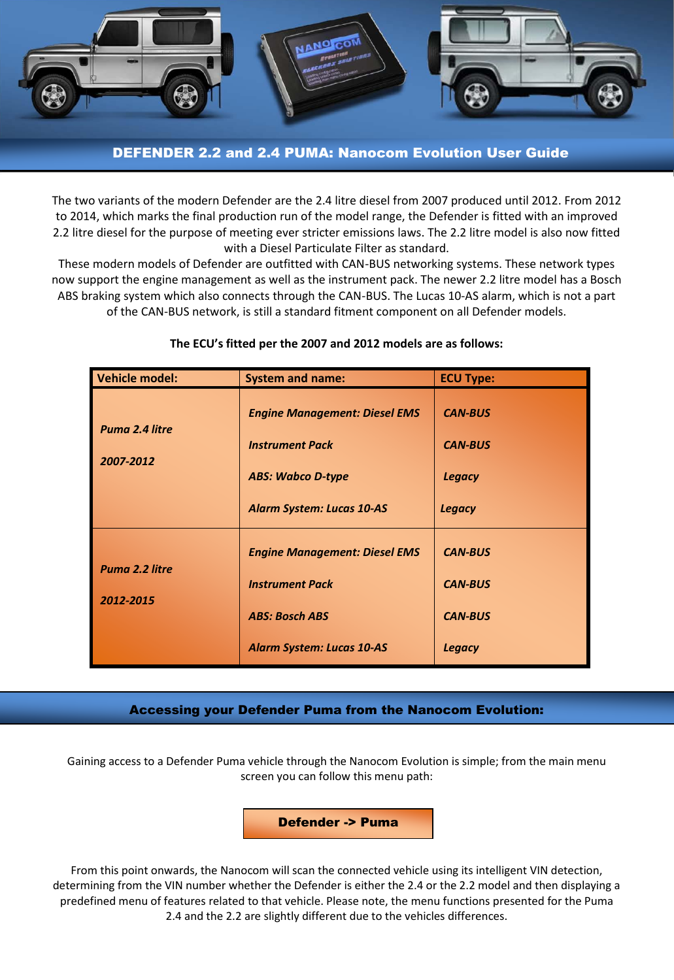

# DEFENDER 2.2 and 2.4 PUMA: Nanocom Evolution User Guide

The two variants of the modern Defender are the 2.4 litre diesel from 2007 produced until 2012. From 2012 to 2014, which marks the final production run of the model range, the Defender is fitted with an improved 2.2 litre diesel for the purpose of meeting ever stricter emissions laws. The 2.2 litre model is also now fitted with a Diesel Particulate Filter as standard.

These modern models of Defender are outfitted with CAN-BUS networking systems. These network types now support the engine management as well as the instrument pack. The newer 2.2 litre model has a Bosch ABS braking system which also connects through the CAN-BUS. The Lucas 10-AS alarm, which is not a part of the CAN-BUS network, is still a standard fitment component on all Defender models.

| Vehicle model:              | <b>System and name:</b>                                                                                                        | <b>ECU Type:</b>                                                    |  |  |
|-----------------------------|--------------------------------------------------------------------------------------------------------------------------------|---------------------------------------------------------------------|--|--|
| Puma 2.4 litre<br>2007-2012 | <b>Engine Management: Diesel EMS</b><br><b>Instrument Pack</b><br><b>ABS: Wabco D-type</b><br><b>Alarm System: Lucas 10-AS</b> | <b>CAN-BUS</b><br><b>CAN-BUS</b><br><b>Legacy</b><br><b>Legacy</b>  |  |  |
| Puma 2.2 litre<br>2012-2015 | <b>Engine Management: Diesel EMS</b><br><b>Instrument Pack</b><br><b>ABS: Bosch ABS</b><br><b>Alarm System: Lucas 10-AS</b>    | <b>CAN-BUS</b><br><b>CAN-BUS</b><br><b>CAN-BUS</b><br><b>Legacy</b> |  |  |

### **The ECU's fitted per the 2007 and 2012 models are as follows:**

# Accessing your Defender Puma from the Nanocom Evolution:

Gaining access to a Defender Puma vehicle through the Nanocom Evolution is simple; from the main menu screen you can follow this menu path:

Defender -> Puma

From this point onwards, the Nanocom will scan the connected vehicle using its intelligent VIN detection, determining from the VIN number whether the Defender is either the 2.4 or the 2.2 model and then displaying a predefined menu of features related to that vehicle. Please note, the menu functions presented for the Puma 2.4 and the 2.2 are slightly different due to the vehicles differences.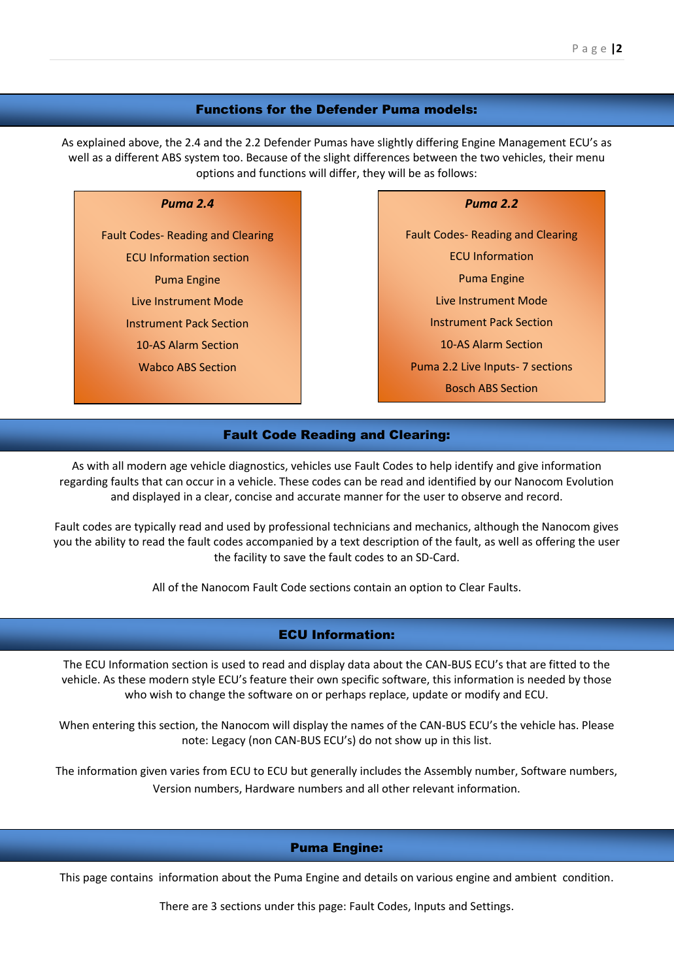#### Functions for the Defender Puma models:

As explained above, the 2.4 and the 2.2 Defender Pumas have slightly differing Engine Management ECU's as well as a different ABS system too. Because of the slight differences between the two vehicles, their menu options and functions will differ, they will be as follows:

#### *Puma 2.4*

Fault Codes- Reading and Clearing ECU Information section Puma Engine Live Instrument Mode Instrument Pack Section 10-AS Alarm Section Wabco ABS Section

*Puma 2.2*

Fault Codes- Reading and Clearing ECU Information Puma Engine Live Instrument Mode Instrument Pack Section 10-AS Alarm Section Puma 2.2 Live Inputs- 7 sections Bosch ABS Section

### Fault Code Reading and Clearing:

As with all modern age vehicle diagnostics, vehicles use Fault Codes to help identify and give information regarding faults that can occur in a vehicle. These codes can be read and identified by our Nanocom Evolution and displayed in a clear, concise and accurate manner for the user to observe and record.

Fault codes are typically read and used by professional technicians and mechanics, although the Nanocom gives you the ability to read the fault codes accompanied by a text description of the fault, as well as offering the user the facility to save the fault codes to an SD-Card.

All of the Nanocom Fault Code sections contain an option to Clear Faults.

### ECU Information:

The ECU Information section is used to read and display data about the CAN-BUS ECU's that are fitted to the vehicle. As these modern style ECU's feature their own specific software, this information is needed by those who wish to change the software on or perhaps replace, update or modify and ECU.

When entering this section, the Nanocom will display the names of the CAN-BUS ECU's the vehicle has. Please note: Legacy (non CAN-BUS ECU's) do not show up in this list.

The information given varies from ECU to ECU but generally includes the Assembly number, Software numbers, Version numbers, Hardware numbers and all other relevant information.

#### Puma Engine:

This page contains information about the Puma Engine and details on various engine and ambient condition.

There are 3 sections under this page: Fault Codes, Inputs and Settings.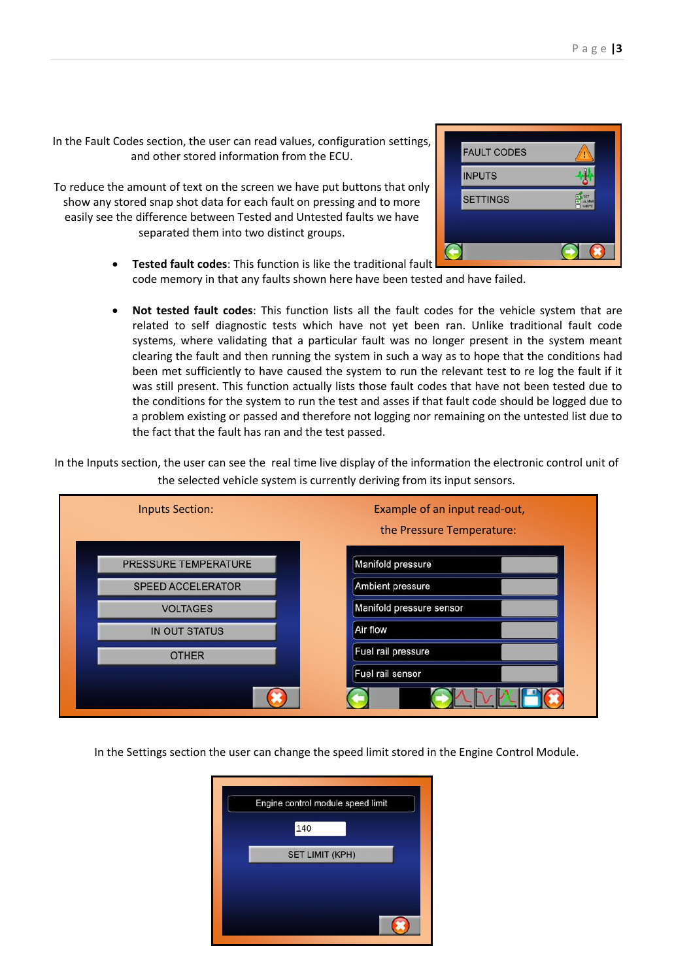In the Fault Codes section, the user can read values, configuration settings, and other stored information from the ECU.

To reduce the amount of text on the screen we have put buttons that only show any stored snap shot data for each fault on pressing and to more easily see the difference between Tested and Untested faults we have separated them into two distinct groups.



- **Tested fault codes**: This function is like the traditional fault code memory in that any faults shown here have been tested and have failed.
- **Not tested fault codes**: This function lists all the fault codes for the vehicle system that are related to self diagnostic tests which have not yet been ran. Unlike traditional fault code systems, where validating that a particular fault was no longer present in the system meant clearing the fault and then running the system in such a way as to hope that the conditions had been met sufficiently to have caused the system to run the relevant test to re log the fault if it was still present. This function actually lists those fault codes that have not been tested due to the conditions for the system to run the test and asses if that fault code should be logged due to a problem existing or passed and therefore not logging nor remaining on the untested list due to the fact that the fault has ran and the test passed.

In the Inputs section, the user can see the real time live display of the information the electronic control unit of the selected vehicle system is currently deriving from its input sensors.



In the Settings section the user can change the speed limit stored in the Engine Control Module.

| Engine control module speed limit |
|-----------------------------------|
| 140                               |
| <b>SET LIMIT (KPH)</b>            |
|                                   |
|                                   |
|                                   |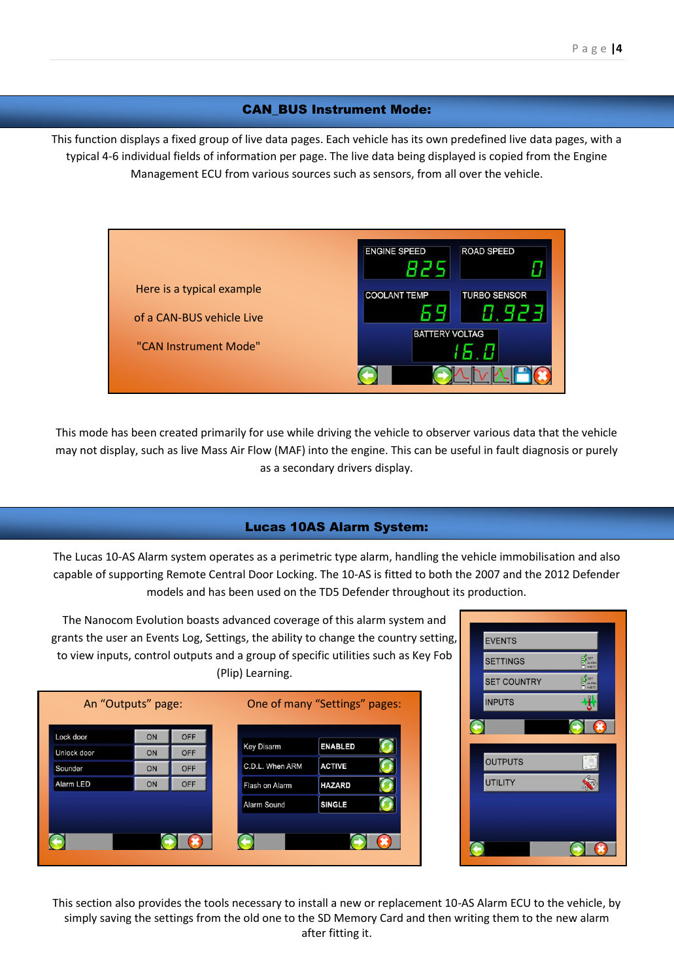### CAN\_BUS Instrument Mode:

This function displays a fixed group of live data pages. Each vehicle has its own predefined live data pages, with a typical 4-6 individual fields of information per page. The live data being displayed is copied from the Engine Management ECU from various sources such as sensors, from all over the vehicle.



This mode has been created primarily for use while driving the vehicle to observer various data that the vehicle may not display, such as live Mass Air Flow (MAF) into the engine. This can be useful in fault diagnosis or purely as a secondary drivers display.

# Lucas 10AS Alarm System:

The Lucas 10-AS Alarm system operates as a perimetric type alarm, handling the vehicle immobilisation and also capable of supporting Remote Central Door Locking. The 10-AS is fitted to both the 2007 and the 2012 Defender models and has been used on the TD5 Defender throughout its production.



The Nanocom Evolution boasts advanced coverage of this alarm system and



This section also provides the tools necessary to install a new or replacement 10-AS Alarm ECU to the vehicle, by simply saving the settings from the old one to the SD Memory Card and then writing them to the new alarm after fitting it.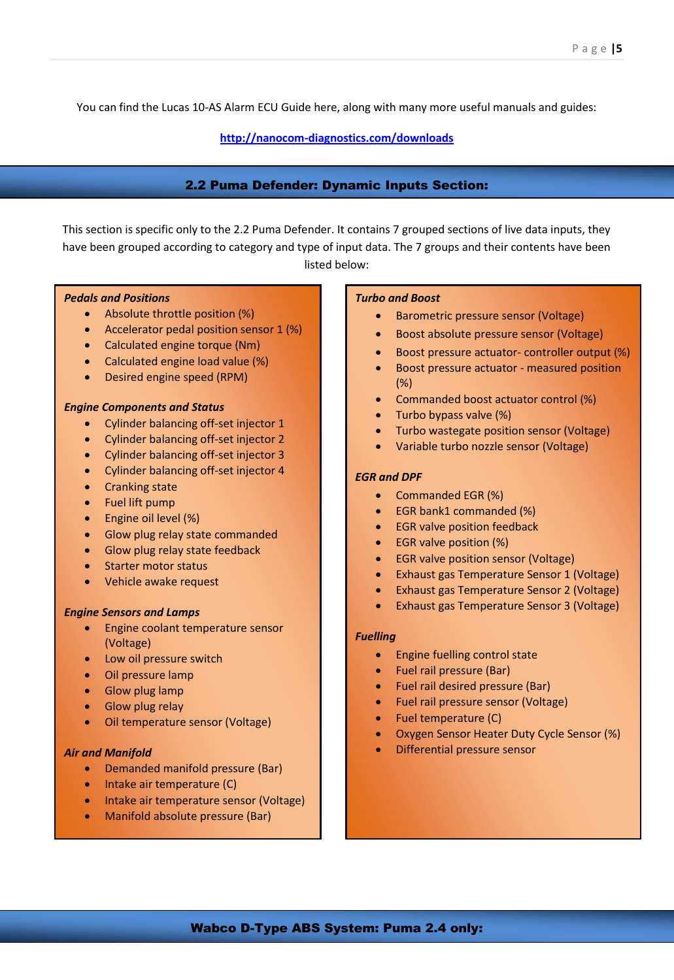You can find the Lucas 10-AS Alarm ECU Guide here, along with many more useful manuals and guides:

**<http://nanocom-diagnostics.com/downloads>**

### 2.2 Puma Defender: Dynamic Inputs Section:

This section is specific only to the 2.2 Puma Defender. It contains 7 grouped sections of live data inputs, they have been grouped according to category and type of input data. The 7 groups and their contents have been listed below:

### *Pedals and Positions*

- Absolute throttle position (%)
- Accelerator pedal position sensor 1 (%)
- Calculated engine torque (Nm)
- Calculated engine load value (%)
- Desired engine speed (RPM)

#### *Engine Components and Status*

- Cylinder balancing off-set injector 1
- Cylinder balancing off-set injector 2
- Cylinder balancing off-set injector 3
- Cylinder balancing off-set injector 4
- Cranking state
- Fuel lift pump
- Engine oil level (%)
- Glow plug relay state commanded
- Glow plug relay state feedback
- Starter motor status
- Vehicle awake request

#### *Engine Sensors and Lamps*

- Engine coolant temperature sensor (Voltage)
- Low oil pressure switch
- Oil pressure lamp
- Glow plug lamp
- Glow plug relay
- Oil temperature sensor (Voltage)

#### *Air and Manifold*

- Demanded manifold pressure (Bar)
- Intake air temperature (C)
- Intake air temperature sensor (Voltage)
- Manifold absolute pressure (Bar)

#### *Turbo and Boost*

- Barometric pressure sensor (Voltage)
- Boost absolute pressure sensor (Voltage)
- Boost pressure actuator- controller output (%)
- Boost pressure actuator measured position (%)
- Commanded boost actuator control (%)
- Turbo bypass valve (%)
- Turbo wastegate position sensor (Voltage)
- Variable turbo nozzle sensor (Voltage)

#### *EGR and DPF*

- Commanded EGR (%)
- EGR bank1 commanded (%)
- **•** EGR valve position feedback
- EGR valve position (%)
- EGR valve position sensor (Voltage)
- Exhaust gas Temperature Sensor 1 (Voltage)
- Exhaust gas Temperature Sensor 2 (Voltage)
- Exhaust gas Temperature Sensor 3 (Voltage)

#### *Fuelling*

- **•** Engine fuelling control state
- Fuel rail pressure (Bar)
- Fuel rail desired pressure (Bar)
- Fuel rail pressure sensor (Voltage)
- Fuel temperature (C)
- Oxygen Sensor Heater Duty Cycle Sensor (%)
- Differential pressure sensor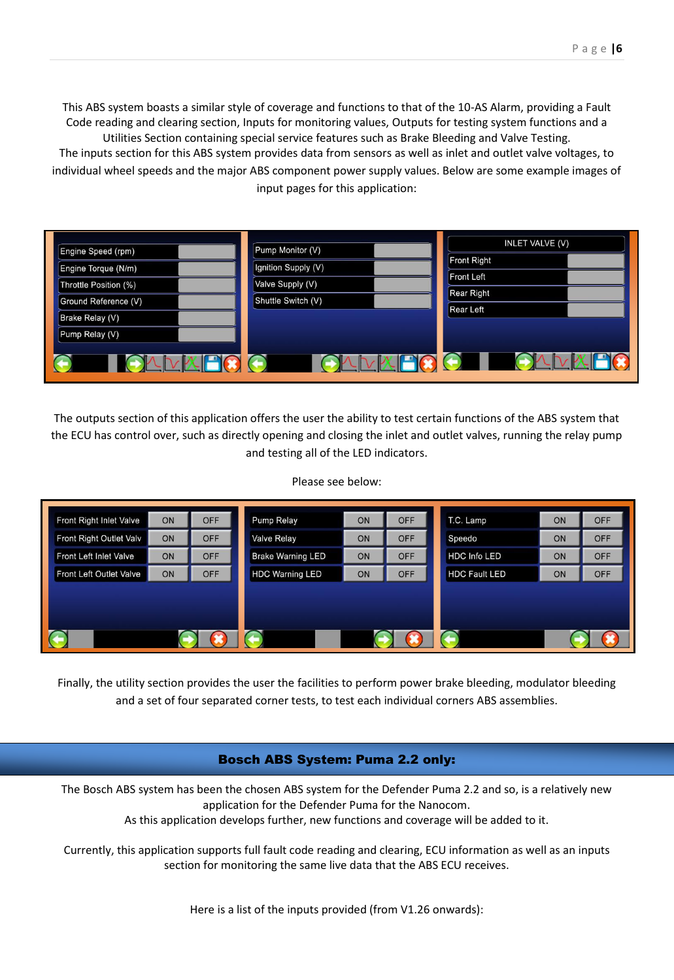This ABS system boasts a similar style of coverage and functions to that of the 10-AS Alarm, providing a Fault Code reading and clearing section, Inputs for monitoring values, Outputs for testing system functions and a Utilities Section containing special service features such as Brake Bleeding and Valve Testing. The inputs section for this ABS system provides data from sensors as well as inlet and outlet valve voltages, to individual wheel speeds and the major ABS component power supply values. Below are some example images of input pages for this application:

| Engine Speed (rpm)     | Pump Monitor (V)    | <b>INLET VALVE (V)</b>                 |
|------------------------|---------------------|----------------------------------------|
| Engine Torque (N/m)    | Ignition Supply (V) | Front Right                            |
| Throttle Position (%)  | Valve Supply (V)    | <b>Front Left</b><br><b>Rear Right</b> |
| Ground Reference (V)   | Shuttle Switch (V)  | <b>Rear Left</b>                       |
| <b>Brake Relay (V)</b> |                     |                                        |
| Pump Relay (V)         |                     |                                        |
|                        |                     |                                        |

The outputs section of this application offers the user the ability to test certain functions of the ABS system that the ECU has control over, such as directly opening and closing the inlet and outlet valves, running the relay pump and testing all of the LED indicators.

Please see below:

| <b>Front Right Inlet Valve</b> | ON | <b>OFF</b> | <b>Pump Relay</b>        | ON | <b>OFF</b> | T.C. Lamp            | ON        | <b>OFF</b> |
|--------------------------------|----|------------|--------------------------|----|------------|----------------------|-----------|------------|
| Front Right Outlet Valv        | ON | <b>OFF</b> | <b>Valve Relay</b>       | ON | <b>OFF</b> | Speedo               | ON        | <b>OFF</b> |
| Front Left Inlet Valve         | ON | <b>OFF</b> | <b>Brake Warning LED</b> | ON | <b>OFF</b> | <b>HDC Info LED</b>  | <b>ON</b> | <b>OFF</b> |
| <b>Front Left Outlet Valve</b> | ON | <b>OFF</b> | <b>HDC Warning LED</b>   | ON | <b>OFF</b> | <b>HDC Fault LED</b> | ON        | <b>OFF</b> |
|                                |    |            |                          |    |            |                      |           |            |
|                                |    |            |                          |    |            |                      |           |            |
|                                |    |            |                          |    |            |                      |           |            |
|                                |    |            |                          |    |            |                      |           |            |

Finally, the utility section provides the user the facilities to perform power brake bleeding, modulator bleeding and a set of four separated corner tests, to test each individual corners ABS assemblies.

### Bosch ABS System: Puma 2.2 only:

The Bosch ABS system has been the chosen ABS system for the Defender Puma 2.2 and so, is a relatively new application for the Defender Puma for the Nanocom.

As this application develops further, new functions and coverage will be added to it.

Currently, this application supports full fault code reading and clearing, ECU information as well as an inputs section for monitoring the same live data that the ABS ECU receives.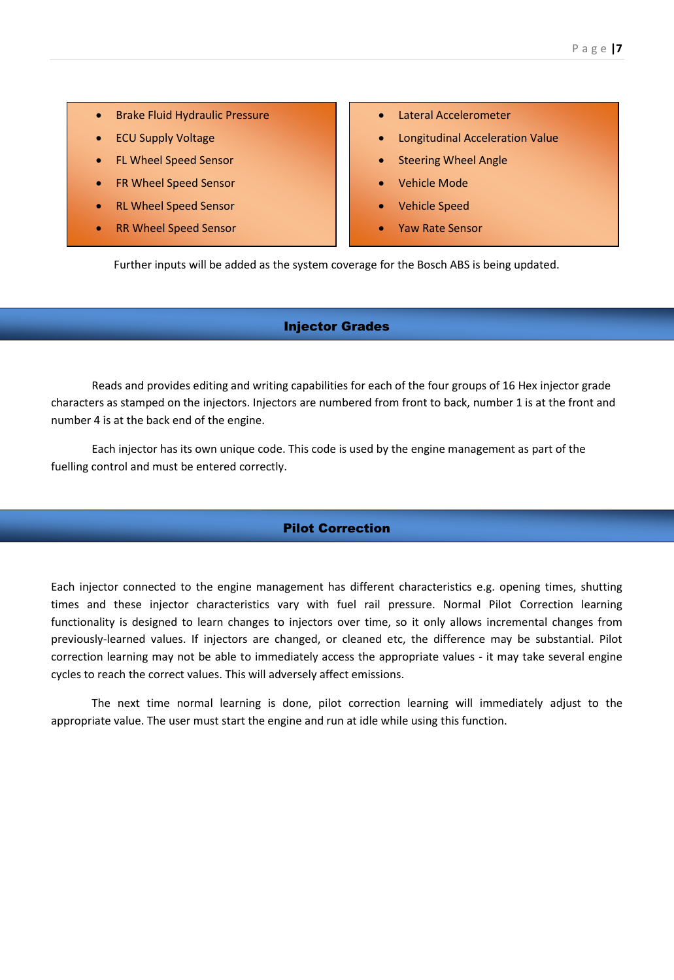- **•** Brake Fluid Hydraulic Pressure
- ECU Supply Voltage
- FL Wheel Speed Sensor
- FR Wheel Speed Sensor
- RL Wheel Speed Sensor
- RR Wheel Speed Sensor
- Lateral Accelerometer
- Longitudinal Acceleration Value
- Steering Wheel Angle
- Vehicle Mode
- Vehicle Speed
- Yaw Rate Sensor

Further inputs will be added as the system coverage for the Bosch ABS is being updated.

### Injector Grades

Reads and provides editing and writing capabilities for each of the four groups of 16 Hex injector grade characters as stamped on the injectors. Injectors are numbered from front to back, number 1 is at the front and number 4 is at the back end of the engine.

Each injector has its own unique code. This code is used by the engine management as part of the fuelling control and must be entered correctly.

# Pilot Correction

Each injector connected to the engine management has different characteristics e.g. opening times, shutting times and these injector characteristics vary with fuel rail pressure. Normal Pilot Correction learning functionality is designed to learn changes to injectors over time, so it only allows incremental changes from previously-learned values. If injectors are changed, or cleaned etc, the difference may be substantial. Pilot correction learning may not be able to immediately access the appropriate values - it may take several engine cycles to reach the correct values. This will adversely affect emissions.

The next time normal learning is done, pilot correction learning will immediately adjust to the appropriate value. The user must start the engine and run at idle while using this function.